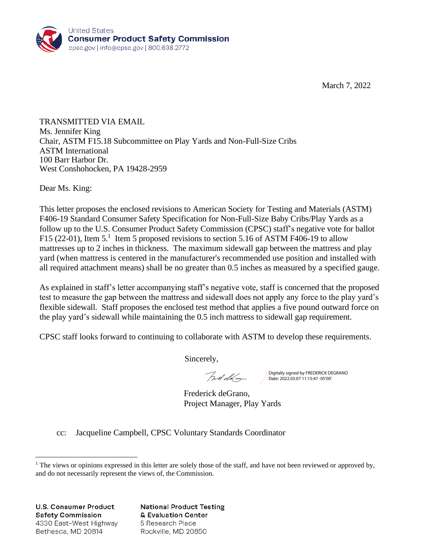

March 7, 2022

TRANSMITTED VIA EMAIL Ms. Jennifer King Chair, ASTM F15.18 Subcommittee on Play Yards and Non-Full-Size Cribs ASTM International 100 Barr Harbor Dr. West Conshohocken, PA 19428-2959

Dear Ms. King:

This letter proposes the enclosed revisions to American Society for Testing and Materials (ASTM) F406-19 Standard Consumer Safety Specification for Non-Full-Size Baby Cribs/Play Yards as a follow up to the U.S. Consumer Product Safety Commission (CPSC) staff's negative vote for ballot F15 (22-01), Item 5.<sup>1</sup> Item 5 proposed revisions to section 5.16 of ASTM F406-19 to allow mattresses up to 2 inches in thickness. The maximum sidewall gap between the mattress and play yard (when mattress is centered in the manufacturer's recommended use position and installed with all required attachment means) shall be no greater than 0.5 inches as measured by a specified gauge.

As explained in staff's letter accompanying staff's negative vote, staff is concerned that the proposed test to measure the gap between the mattress and sidewall does not apply any force to the play yard's flexible sidewall. Staff proposes the enclosed test method that applies a five pound outward force on the play yard's sidewall while maintaining the 0.5 inch mattress to sidewall gap requirement.

CPSC staff looks forward to continuing to collaborate with ASTM to develop these requirements.

Sincerely,

Fred dela

Digitally signed by FREDERICK DEGRANO Date: 2022.03.07 11:15:47 -05'00'

Frederick deGrano, Project Manager, Play Yards

cc: Jacqueline Campbell, CPSC Voluntary Standards Coordinator

**U.S. Consumer Product Safety Commission** 4330 East-West Highway Bethesda, MD 20814

**National Product Testing** & Evaluation Center 5 Research Place Rockville, MD 20850

<sup>&</sup>lt;sup>1</sup> The views or opinions expressed in this letter are solely those of the staff, and have not been reviewed or approved by, and do not necessarily represent the views of, the Commission.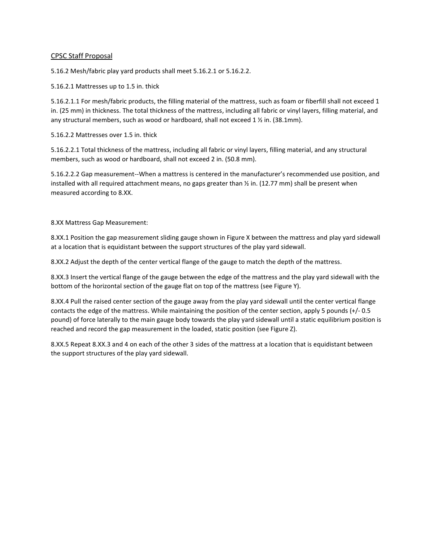## CPSC Staff Proposal

5.16.2 Mesh/fabric play yard products shall meet 5.16.2.1 or 5.16.2.2.

5.16.2.1 Mattresses up to 1.5 in. thick

5.16.2.1.1 For mesh/fabric products, the filling material of the mattress, such as foam or fiberfill shall not exceed 1 in. (25 mm) in thickness. The total thickness of the mattress, including all fabric or vinyl layers, filling material, and any structural members, such as wood or hardboard, shall not exceed 1 ½ in. (38.1mm).

5.16.2.2 Mattresses over 1.5 in. thick

5.16.2.2.1 Total thickness of the mattress, including all fabric or vinyl layers, filling material, and any structural members, such as wood or hardboard, shall not exceed 2 in. (50.8 mm).

5.16.2.2.2 Gap measurement--When a mattress is centered in the manufacturer's recommended use position, and installed with all required attachment means, no gaps greater than  $\frac{1}{2}$  in. (12.77 mm) shall be present when measured according to 8.XX.

8.XX Mattress Gap Measurement:

8.XX.1 Position the gap measurement sliding gauge shown in Figure X between the mattress and play yard sidewall at a location that is equidistant between the support structures of the play yard sidewall.

8.XX.2 Adjust the depth of the center vertical flange of the gauge to match the depth of the mattress.

8.XX.3 Insert the vertical flange of the gauge between the edge of the mattress and the play yard sidewall with the bottom of the horizontal section of the gauge flat on top of the mattress (see Figure Y).

8.XX.4 Pull the raised center section of the gauge away from the play yard sidewall until the center vertical flange contacts the edge of the mattress. While maintaining the position of the center section, apply 5 pounds (+/- 0.5 pound) of force laterally to the main gauge body towards the play yard sidewall until a static equilibrium position is reached and record the gap measurement in the loaded, static position (see Figure Z).

8.XX.5 Repeat 8.XX.3 and 4 on each of the other 3 sides of the mattress at a location that is equidistant between the support structures of the play yard sidewall.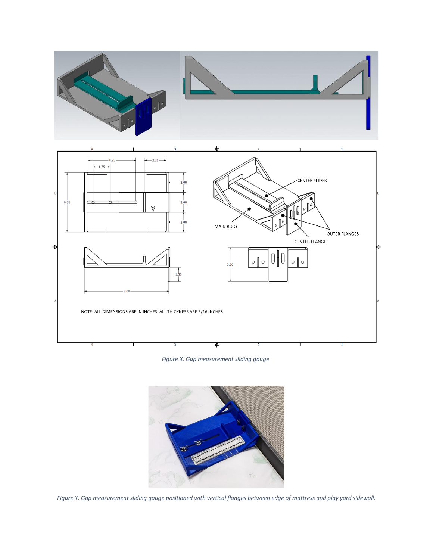



*Figure X. Gap measurement sliding gauge.*



*Figure Y. Gap measurement sliding gauge positioned with vertical flanges between edge of mattress and play yard sidewall.*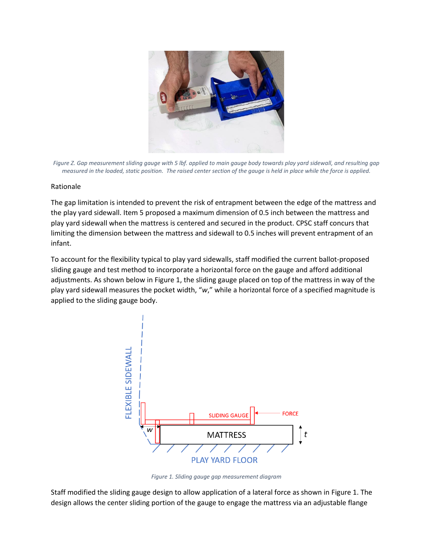

*Figure Z. Gap measurement sliding gauge with 5 lbf. applied to main gauge body towards play yard sidewall, and resulting gap measured in the loaded, static position. The raised center section of the gauge is held in place while the force is applied.*

## Rationale

The gap limitation is intended to prevent the risk of entrapment between the edge of the mattress and the play yard sidewall. Item 5 proposed a maximum dimension of 0.5 inch between the mattress and play yard sidewall when the mattress is centered and secured in the product. CPSC staff concurs that limiting the dimension between the mattress and sidewall to 0.5 inches will prevent entrapment of an infant.

To account for the flexibility typical to play yard sidewalls, staff modified the current ballot-proposed sliding gauge and test method to incorporate a horizontal force on the gauge and afford additional adjustments. As shown below i[n Figure 1,](#page-3-0) the sliding gauge placed on top of the mattress in way of the play yard sidewall measures the pocket width, "*w*," while a horizontal force of a specified magnitude is applied to the sliding gauge body.



*Figure 1. Sliding gauge gap measurement diagram*

<span id="page-3-0"></span>Staff modified the sliding gauge design to allow application of a lateral force as shown i[n Figure 1.](#page-3-0) The design allows the center sliding portion of the gauge to engage the mattress via an adjustable flange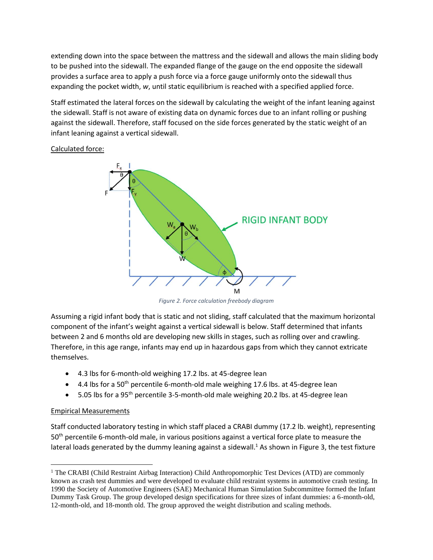extending down into the space between the mattress and the sidewall and allows the main sliding body to be pushed into the sidewall. The expanded flange of the gauge on the end opposite the sidewall provides a surface area to apply a push force via a force gauge uniformly onto the sidewall thus expanding the pocket width, *w*, until static equilibrium is reached with a specified applied force.

Staff estimated the lateral forces on the sidewall by calculating the weight of the infant leaning against the sidewall. Staff is not aware of existing data on dynamic forces due to an infant rolling or pushing against the sidewall. Therefore, staff focused on the side forces generated by the static weight of an infant leaning against a vertical sidewall.

Calculated force:



*Figure 2. Force calculation freebody diagram*

Assuming a rigid infant body that is static and not sliding, staff calculated that the maximum horizontal component of the infant's weight against a vertical sidewall is below. Staff determined that infants between 2 and 6 months old are developing new skills in stages, such as rolling over and crawling. Therefore, in this age range, infants may end up in hazardous gaps from which they cannot extricate themselves.

- 4.3 lbs for 6-month-old weighing 17.2 lbs. at 45-degree lean
- $\bullet$  4.4 lbs for a 50<sup>th</sup> percentile 6-month-old male weighing 17.6 lbs. at 45-degree lean
- 5.05 lbs for a 95th percentile 3-5-month-old male weighing 20.2 lbs. at 45-degree lean

## Empirical Measurements

Staff conducted laboratory testing in which staff placed a CRABI dummy (17.2 lb. weight), representing 50th percentile 6-month-old male, in various positions against a vertical force plate to measure the lateral loads generated by the dummy leaning against a sidewall. $<sup>1</sup>$  As shown in [Figure 3,](#page-5-0) the test fixture</sup>

<sup>&</sup>lt;sup>1</sup> The CRABI (Child Restraint Airbag Interaction) Child Anthropomorphic Test Devices (ATD) are commonly known as crash test dummies and were developed to evaluate child restraint systems in automotive crash testing. In 1990 the Society of Automotive Engineers (SAE) Mechanical Human Simulation Subcommittee formed the Infant Dummy Task Group. The group developed design specifications for three sizes of infant dummies: a 6-month-old, 12-month-old, and 18-month old. The group approved the weight distribution and scaling methods.